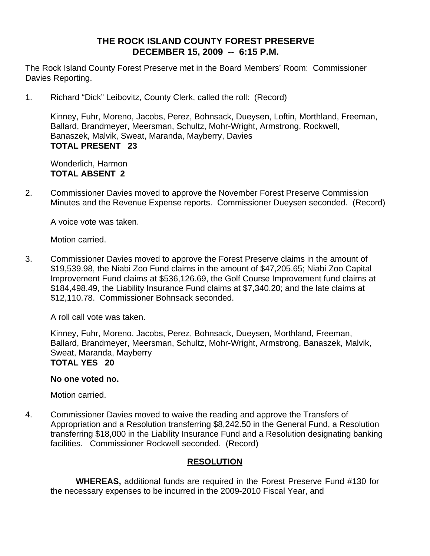# **THE ROCK ISLAND COUNTY FOREST PRESERVE DECEMBER 15, 2009 -- 6:15 P.M.**

The Rock Island County Forest Preserve met in the Board Members' Room: Commissioner Davies Reporting.

1. Richard "Dick" Leibovitz, County Clerk, called the roll: (Record)

Kinney, Fuhr, Moreno, Jacobs, Perez, Bohnsack, Dueysen, Loftin, Morthland, Freeman, Ballard, Brandmeyer, Meersman, Schultz, Mohr-Wright, Armstrong, Rockwell, Banaszek, Malvik, Sweat, Maranda, Mayberry, Davies **TOTAL PRESENT 23** 

 Wonderlich, Harmon **TOTAL ABSENT 2**

2. Commissioner Davies moved to approve the November Forest Preserve Commission Minutes and the Revenue Expense reports. Commissioner Dueysen seconded. (Record)

A voice vote was taken.

Motion carried.

3. Commissioner Davies moved to approve the Forest Preserve claims in the amount of \$19,539.98, the Niabi Zoo Fund claims in the amount of \$47,205.65; Niabi Zoo Capital Improvement Fund claims at \$536,126.69, the Golf Course Improvement fund claims at \$184,498.49, the Liability Insurance Fund claims at \$7,340.20; and the late claims at \$12,110.78. Commissioner Bohnsack seconded.

A roll call vote was taken.

Kinney, Fuhr, Moreno, Jacobs, Perez, Bohnsack, Dueysen, Morthland, Freeman, Ballard, Brandmeyer, Meersman, Schultz, Mohr-Wright, Armstrong, Banaszek, Malvik, Sweat, Maranda, Mayberry **TOTAL YES 20** 

#### **No one voted no.**

Motion carried.

4. Commissioner Davies moved to waive the reading and approve the Transfers of Appropriation and a Resolution transferring \$8,242.50 in the General Fund, a Resolution transferring \$18,000 in the Liability Insurance Fund and a Resolution designating banking facilities. Commissioner Rockwell seconded. (Record)

# **RESOLUTION**

 **WHEREAS,** additional funds are required in the Forest Preserve Fund #130 for the necessary expenses to be incurred in the 2009-2010 Fiscal Year, and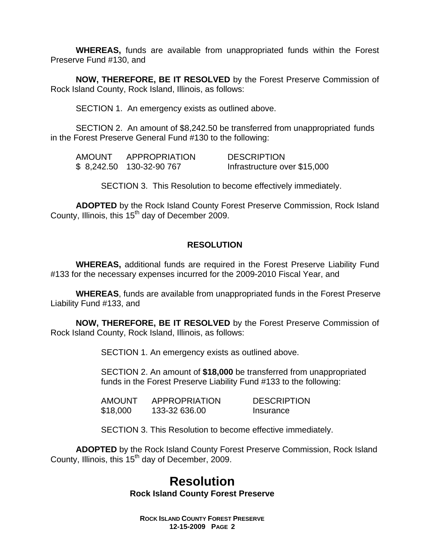**WHEREAS,** funds are available from unappropriated funds within the Forest Preserve Fund #130, and

**NOW, THEREFORE, BE IT RESOLVED** by the Forest Preserve Commission of Rock Island County, Rock Island, Illinois, as follows:

SECTION 1. An emergency exists as outlined above.

SECTION 2. An amount of \$8,242.50 be transferred from unappropriated funds in the Forest Preserve General Fund #130 to the following:

| <b>AMOUNT</b> | APPROPRIATION             | <b>DESCRIPTION</b>           |
|---------------|---------------------------|------------------------------|
|               | \$ 8,242.50 130-32-90 767 | Infrastructure over \$15,000 |

SECTION 3. This Resolution to become effectively immediately.

**ADOPTED** by the Rock Island County Forest Preserve Commission, Rock Island County, Illinois, this  $15<sup>th</sup>$  day of December 2009.

# **RESOLUTION**

 **WHEREAS,** additional funds are required in the Forest Preserve Liability Fund #133 for the necessary expenses incurred for the 2009-2010 Fiscal Year, and

 **WHEREAS**, funds are available from unappropriated funds in the Forest Preserve Liability Fund #133, and

**NOW, THEREFORE, BE IT RESOLVED** by the Forest Preserve Commission of Rock Island County, Rock Island, Illinois, as follows:

SECTION 1. An emergency exists as outlined above.

SECTION 2. An amount of **\$18,000** be transferred from unappropriated funds in the Forest Preserve Liability Fund #133 to the following:

| <b>AMOUNT</b> | APPROPRIATION | <b>DESCRIPTION</b> |
|---------------|---------------|--------------------|
| \$18,000      | 133-32 636.00 | Insurance          |

SECTION 3. This Resolution to become effective immediately.

**ADOPTED** by the Rock Island County Forest Preserve Commission, Rock Island County, Illinois, this  $15<sup>th</sup>$  day of December, 2009.

# **Resolution Rock Island County Forest Preserve**

**ROCK ISLAND COUNTY FOREST PRESERVE 12-15-2009 PAGE 2**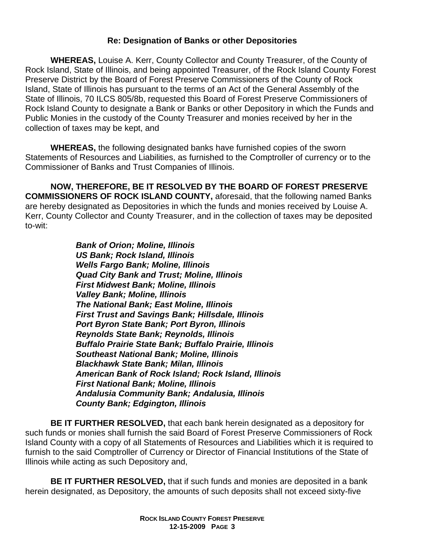# **Re: Designation of Banks or other Depositories**

**WHEREAS,** Louise A. Kerr, County Collector and County Treasurer, of the County of Rock Island, State of Illinois, and being appointed Treasurer, of the Rock Island County Forest Preserve District by the Board of Forest Preserve Commissioners of the County of Rock Island, State of Illinois has pursuant to the terms of an Act of the General Assembly of the State of Illinois, 70 ILCS 805/8b, requested this Board of Forest Preserve Commissioners of Rock Island County to designate a Bank or Banks or other Depository in which the Funds and Public Monies in the custody of the County Treasurer and monies received by her in the collection of taxes may be kept, and

**WHEREAS,** the following designated banks have furnished copies of the sworn Statements of Resources and Liabilities, as furnished to the Comptroller of currency or to the Commissioner of Banks and Trust Companies of Illinois.

**NOW, THEREFORE, BE IT RESOLVED BY THE BOARD OF FOREST PRESERVE COMMISSIONERS OF ROCK ISLAND COUNTY,** aforesaid, that the following named Banks are hereby designated as Depositories in which the funds and monies received by Louise A. Kerr, County Collector and County Treasurer, and in the collection of taxes may be deposited to-wit:

> *Bank of Orion; Moline, Illinois US Bank; Rock Island, Illinois Wells Fargo Bank; Moline, Illinois Quad City Bank and Trust; Moline, Illinois First Midwest Bank; Moline, Illinois Valley Bank; Moline, Illinois The National Bank; East Moline, Illinois First Trust and Savings Bank; Hillsdale, Illinois Port Byron State Bank; Port Byron, Illinois Reynolds State Bank; Reynolds, Illinois Buffalo Prairie State Bank; Buffalo Prairie, Illinois Southeast National Bank; Moline, Illinois Blackhawk State Bank; Milan, Illinois American Bank of Rock Island; Rock Island, Illinois First National Bank; Moline, Illinois Andalusia Community Bank; Andalusia, Illinois County Bank; Edgington, Illinois*

**BE IT FURTHER RESOLVED,** that each bank herein designated as a depository for such funds or monies shall furnish the said Board of Forest Preserve Commissioners of Rock Island County with a copy of all Statements of Resources and Liabilities which it is required to furnish to the said Comptroller of Currency or Director of Financial Institutions of the State of Illinois while acting as such Depository and,

**BE IT FURTHER RESOLVED,** that if such funds and monies are deposited in a bank herein designated, as Depository, the amounts of such deposits shall not exceed sixty-five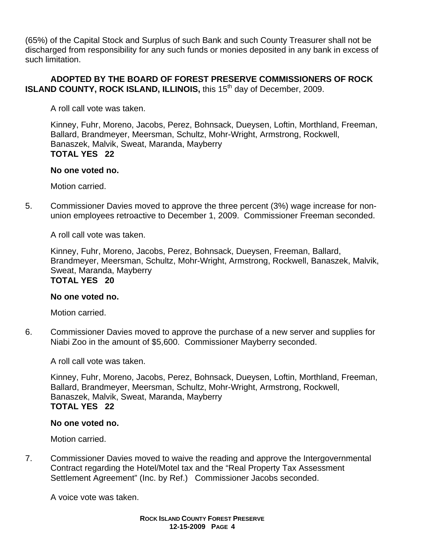(65%) of the Capital Stock and Surplus of such Bank and such County Treasurer shall not be discharged from responsibility for any such funds or monies deposited in any bank in excess of such limitation.

# **ADOPTED BY THE BOARD OF FOREST PRESERVE COMMISSIONERS OF ROCK ISLAND COUNTY, ROCK ISLAND, ILLINOIS, this 15<sup>th</sup> day of December, 2009.**

A roll call vote was taken.

Kinney, Fuhr, Moreno, Jacobs, Perez, Bohnsack, Dueysen, Loftin, Morthland, Freeman, Ballard, Brandmeyer, Meersman, Schultz, Mohr-Wright, Armstrong, Rockwell, Banaszek, Malvik, Sweat, Maranda, Mayberry **TOTAL YES 22** 

### **No one voted no.**

Motion carried.

5. Commissioner Davies moved to approve the three percent (3%) wage increase for nonunion employees retroactive to December 1, 2009. Commissioner Freeman seconded.

A roll call vote was taken.

Kinney, Fuhr, Moreno, Jacobs, Perez, Bohnsack, Dueysen, Freeman, Ballard, Brandmeyer, Meersman, Schultz, Mohr-Wright, Armstrong, Rockwell, Banaszek, Malvik, Sweat, Maranda, Mayberry **TOTAL YES 20** 

### **No one voted no.**

Motion carried.

6. Commissioner Davies moved to approve the purchase of a new server and supplies for Niabi Zoo in the amount of \$5,600. Commissioner Mayberry seconded.

A roll call vote was taken.

Kinney, Fuhr, Moreno, Jacobs, Perez, Bohnsack, Dueysen, Loftin, Morthland, Freeman, Ballard, Brandmeyer, Meersman, Schultz, Mohr-Wright, Armstrong, Rockwell, Banaszek, Malvik, Sweat, Maranda, Mayberry **TOTAL YES 22** 

### **No one voted no.**

Motion carried.

7. Commissioner Davies moved to waive the reading and approve the Intergovernmental Contract regarding the Hotel/Motel tax and the "Real Property Tax Assessment Settlement Agreement" (Inc. by Ref.) Commissioner Jacobs seconded.

A voice vote was taken.